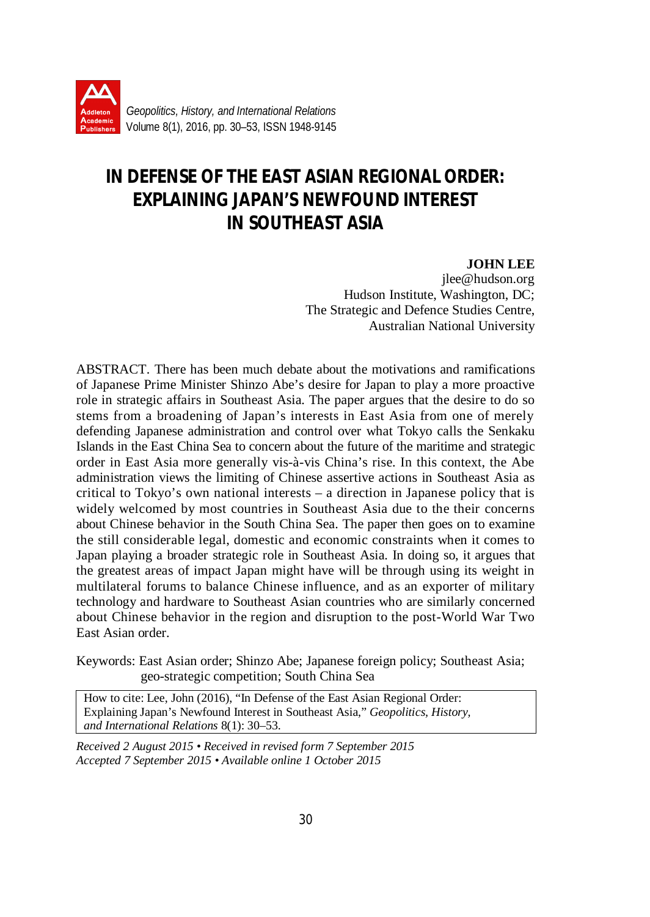

# **IN DEFENSE OF THE EAST ASIAN REGIONAL ORDER: EXPLAINING JAPAN'S NEWFOUND INTEREST IN SOUTHEAST ASIA**

#### **JOHN LEE**

jlee@hudson.org Hudson Institute, Washington, DC; The Strategic and Defence Studies Centre, Australian National University

ABSTRACT. There has been much debate about the motivations and ramifications of Japanese Prime Minister Shinzo Abe's desire for Japan to play a more proactive role in strategic affairs in Southeast Asia. The paper argues that the desire to do so stems from a broadening of Japan's interests in East Asia from one of merely defending Japanese administration and control over what Tokyo calls the Senkaku Islands in the East China Sea to concern about the future of the maritime and strategic order in East Asia more generally vis-à-vis China's rise. In this context, the Abe administration views the limiting of Chinese assertive actions in Southeast Asia as critical to Tokyo's own national interests – a direction in Japanese policy that is widely welcomed by most countries in Southeast Asia due to the their concerns about Chinese behavior in the South China Sea. The paper then goes on to examine the still considerable legal, domestic and economic constraints when it comes to Japan playing a broader strategic role in Southeast Asia. In doing so, it argues that the greatest areas of impact Japan might have will be through using its weight in multilateral forums to balance Chinese influence, and as an exporter of military technology and hardware to Southeast Asian countries who are similarly concerned about Chinese behavior in the region and disruption to the post-World War Two East Asian order.

Keywords: East Asian order; Shinzo Abe; Japanese foreign policy; Southeast Asia; geo-strategic competition; South China Sea

How to cite: Lee, John (2016), "In Defense of the East Asian Regional Order: Explaining Japan's Newfound Interest in Southeast Asia," *Geopolitics, History, and International Relations* 8(1): 30–53.

*Received 2 August 2015 • Received in revised form 7 September 2015 Accepted 7 September 2015 • Available online 1 October 2015*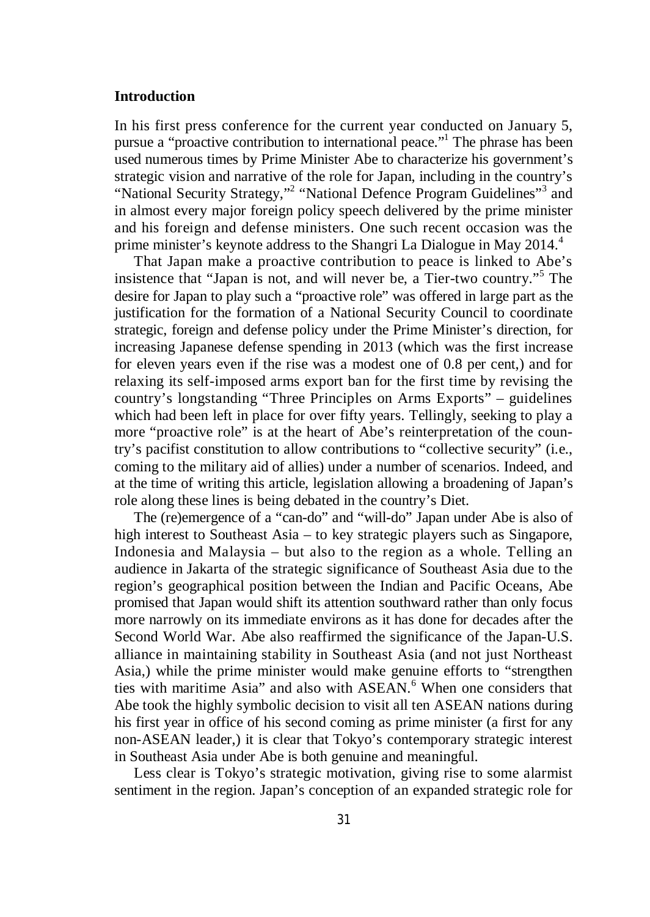# **Introduction**

In his first press conference for the current year conducted on January 5, pursue a "proactive contribution to international peace."<sup>1</sup> The phrase has been used numerous times by Prime Minister Abe to characterize his government's strategic vision and narrative of the role for Japan, including in the country's "National Security Strategy,"<sup>2</sup> "National Defence Program Guidelines"<sup>3</sup> and in almost every major foreign policy speech delivered by the prime minister and his foreign and defense ministers. One such recent occasion was the prime minister's keynote address to the Shangri La Dialogue in May  $2014<sup>4</sup>$ 

That Japan make a proactive contribution to peace is linked to Abe's insistence that "Japan is not, and will never be, a Tier-two country."<sup>5</sup> The desire for Japan to play such a "proactive role" was offered in large part as the justification for the formation of a National Security Council to coordinate strategic, foreign and defense policy under the Prime Minister's direction, for increasing Japanese defense spending in 2013 (which was the first increase for eleven years even if the rise was a modest one of 0.8 per cent,) and for relaxing its self-imposed arms export ban for the first time by revising the country's longstanding "Three Principles on Arms Exports" – guidelines which had been left in place for over fifty years. Tellingly, seeking to play a more "proactive role" is at the heart of Abe's reinterpretation of the country's pacifist constitution to allow contributions to "collective security" (i.e., coming to the military aid of allies) under a number of scenarios. Indeed, and at the time of writing this article, legislation allowing a broadening of Japan's role along these lines is being debated in the country's Diet.

The (re)emergence of a "can-do" and "will-do" Japan under Abe is also of high interest to Southeast Asia – to key strategic players such as Singapore, Indonesia and Malaysia – but also to the region as a whole. Telling an audience in Jakarta of the strategic significance of Southeast Asia due to the region's geographical position between the Indian and Pacific Oceans, Abe promised that Japan would shift its attention southward rather than only focus more narrowly on its immediate environs as it has done for decades after the Second World War. Abe also reaffirmed the significance of the Japan-U.S. alliance in maintaining stability in Southeast Asia (and not just Northeast Asia,) while the prime minister would make genuine efforts to "strengthen ties with maritime Asia" and also with ASEAN.<sup>6</sup> When one considers that Abe took the highly symbolic decision to visit all ten ASEAN nations during his first year in office of his second coming as prime minister (a first for any non-ASEAN leader,) it is clear that Tokyo's contemporary strategic interest in Southeast Asia under Abe is both genuine and meaningful.

Less clear is Tokyo's strategic motivation, giving rise to some alarmist sentiment in the region. Japan's conception of an expanded strategic role for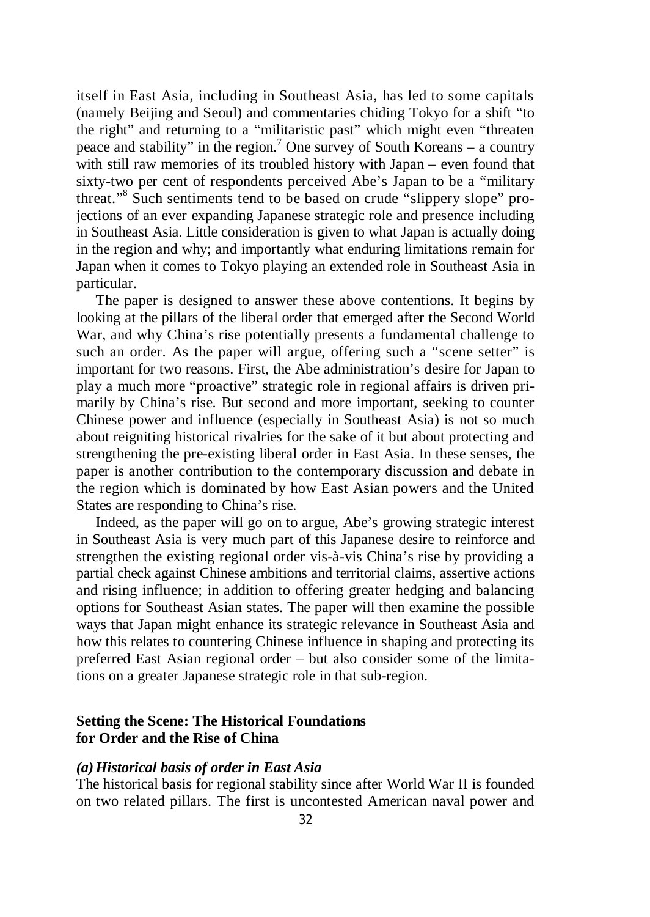itself in East Asia, including in Southeast Asia, has led to some capitals (namely Beijing and Seoul) and commentaries chiding Tokyo for a shift "to the right" and returning to a "militaristic past" which might even "threaten peace and stability" in the region.<sup>7</sup> One survey of South Koreans – a country with still raw memories of its troubled history with Japan – even found that sixty-two per cent of respondents perceived Abe's Japan to be a "military threat." 8 Such sentiments tend to be based on crude "slippery slope" projections of an ever expanding Japanese strategic role and presence including in Southeast Asia. Little consideration is given to what Japan is actually doing in the region and why; and importantly what enduring limitations remain for Japan when it comes to Tokyo playing an extended role in Southeast Asia in particular.

The paper is designed to answer these above contentions. It begins by looking at the pillars of the liberal order that emerged after the Second World War, and why China's rise potentially presents a fundamental challenge to such an order. As the paper will argue, offering such a "scene setter" is important for two reasons. First, the Abe administration's desire for Japan to play a much more "proactive" strategic role in regional affairs is driven primarily by China's rise. But second and more important, seeking to counter Chinese power and influence (especially in Southeast Asia) is not so much about reigniting historical rivalries for the sake of it but about protecting and strengthening the pre-existing liberal order in East Asia. In these senses, the paper is another contribution to the contemporary discussion and debate in the region which is dominated by how East Asian powers and the United States are responding to China's rise.

Indeed, as the paper will go on to argue, Abe's growing strategic interest in Southeast Asia is very much part of this Japanese desire to reinforce and strengthen the existing regional order vis-à-vis China's rise by providing a partial check against Chinese ambitions and territorial claims, assertive actions and rising influence; in addition to offering greater hedging and balancing options for Southeast Asian states. The paper will then examine the possible ways that Japan might enhance its strategic relevance in Southeast Asia and how this relates to countering Chinese influence in shaping and protecting its preferred East Asian regional order – but also consider some of the limitations on a greater Japanese strategic role in that sub-region.

# **Setting the Scene: The Historical Foundations for Order and the Rise of China**

#### *(a)Historical basis of order in East Asia*

The historical basis for regional stability since after World War II is founded on two related pillars. The first is uncontested American naval power and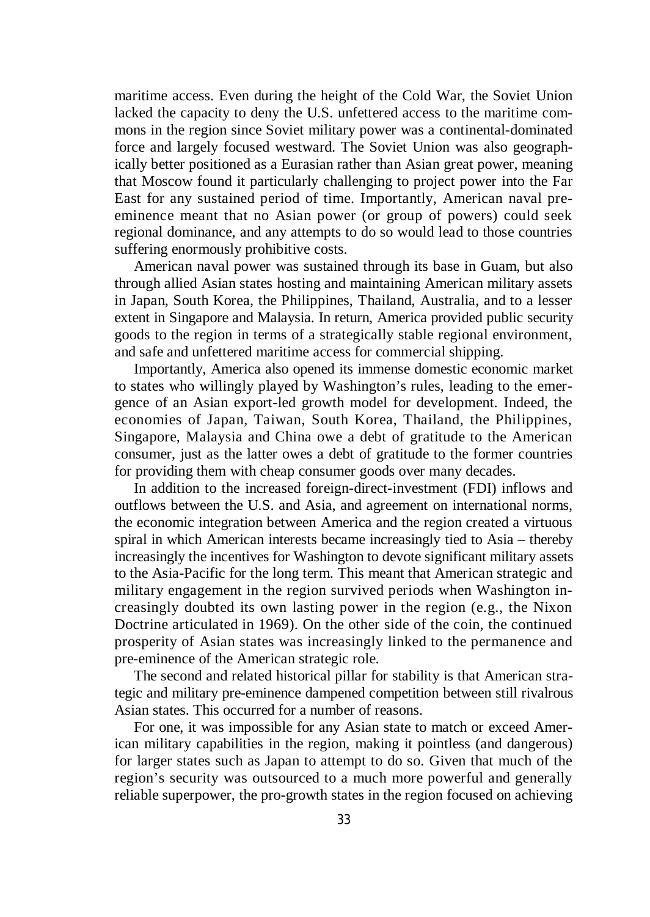maritime access. Even during the height of the Cold War, the Soviet Union lacked the capacity to deny the U.S. unfettered access to the maritime commons in the region since Soviet military power was a continental-dominated force and largely focused westward. The Soviet Union was also geographically better positioned as a Eurasian rather than Asian great power, meaning that Moscow found it particularly challenging to project power into the Far East for any sustained period of time. Importantly, American naval preeminence meant that no Asian power (or group of powers) could seek regional dominance, and any attempts to do so would lead to those countries suffering enormously prohibitive costs.

American naval power was sustained through its base in Guam, but also through allied Asian states hosting and maintaining American military assets in Japan, South Korea, the Philippines, Thailand, Australia, and to a lesser extent in Singapore and Malaysia. In return, America provided public security goods to the region in terms of a strategically stable regional environment, and safe and unfettered maritime access for commercial shipping.

Importantly, America also opened its immense domestic economic market to states who willingly played by Washington's rules, leading to the emergence of an Asian export-led growth model for development. Indeed, the economies of Japan, Taiwan, South Korea, Thailand, the Philippines, Singapore, Malaysia and China owe a debt of gratitude to the American consumer, just as the latter owes a debt of gratitude to the former countries for providing them with cheap consumer goods over many decades.

In addition to the increased foreign-direct-investment (FDI) inflows and outflows between the U.S. and Asia, and agreement on international norms, the economic integration between America and the region created a virtuous spiral in which American interests became increasingly tied to Asia – thereby increasingly the incentives for Washington to devote significant military assets to the Asia-Pacific for the long term. This meant that American strategic and military engagement in the region survived periods when Washington increasingly doubted its own lasting power in the region (e.g., the Nixon Doctrine articulated in 1969). On the other side of the coin, the continued prosperity of Asian states was increasingly linked to the permanence and pre-eminence of the American strategic role.

The second and related historical pillar for stability is that American strategic and military pre-eminence dampened competition between still rivalrous Asian states. This occurred for a number of reasons.

For one, it was impossible for any Asian state to match or exceed American military capabilities in the region, making it pointless (and dangerous) for larger states such as Japan to attempt to do so. Given that much of the region's security was outsourced to a much more powerful and generally reliable superpower, the pro-growth states in the region focused on achieving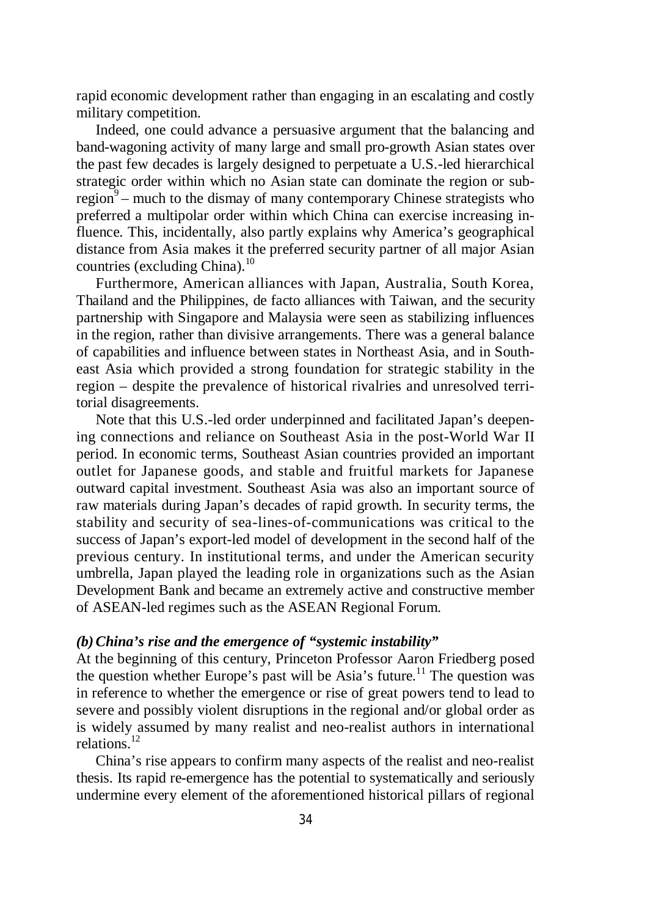rapid economic development rather than engaging in an escalating and costly military competition.

Indeed, one could advance a persuasive argument that the balancing and band-wagoning activity of many large and small pro-growth Asian states over the past few decades is largely designed to perpetuate a U.S.-led hierarchical strategic order within which no Asian state can dominate the region or subregion $9$  – much to the dismay of many contemporary Chinese strategists who preferred a multipolar order within which China can exercise increasing influence. This, incidentally, also partly explains why America's geographical distance from Asia makes it the preferred security partner of all major Asian countries (excluding China). $^{10}$ 

Furthermore, American alliances with Japan, Australia, South Korea, Thailand and the Philippines, de facto alliances with Taiwan, and the security partnership with Singapore and Malaysia were seen as stabilizing influences in the region, rather than divisive arrangements. There was a general balance of capabilities and influence between states in Northeast Asia, and in Southeast Asia which provided a strong foundation for strategic stability in the region – despite the prevalence of historical rivalries and unresolved territorial disagreements.

Note that this U.S.-led order underpinned and facilitated Japan's deepening connections and reliance on Southeast Asia in the post-World War II period. In economic terms, Southeast Asian countries provided an important outlet for Japanese goods, and stable and fruitful markets for Japanese outward capital investment. Southeast Asia was also an important source of raw materials during Japan's decades of rapid growth. In security terms, the stability and security of sea-lines-of-communications was critical to the success of Japan's export-led model of development in the second half of the previous century. In institutional terms, and under the American security umbrella, Japan played the leading role in organizations such as the Asian Development Bank and became an extremely active and constructive member of ASEAN-led regimes such as the ASEAN Regional Forum.

# *(b)China's rise and the emergence of "systemic instability"*

At the beginning of this century, Princeton Professor Aaron Friedberg posed the question whether Europe's past will be Asia's future.<sup>11</sup> The question was in reference to whether the emergence or rise of great powers tend to lead to severe and possibly violent disruptions in the regional and/or global order as is widely assumed by many realist and neo-realist authors in international relations.<sup>12</sup>

China's rise appears to confirm many aspects of the realist and neo-realist thesis. Its rapid re-emergence has the potential to systematically and seriously undermine every element of the aforementioned historical pillars of regional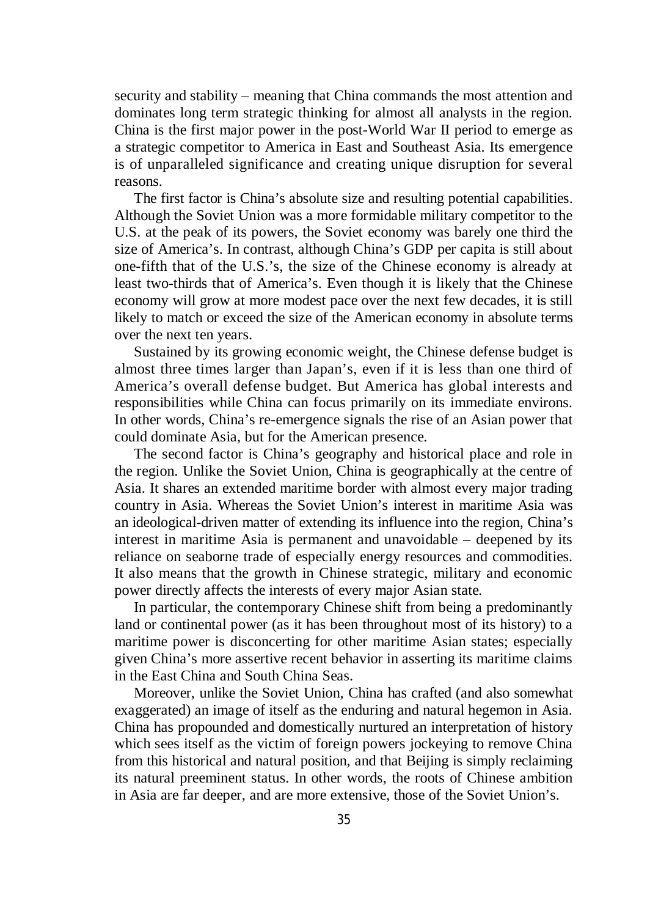security and stability – meaning that China commands the most attention and dominates long term strategic thinking for almost all analysts in the region. China is the first major power in the post-World War II period to emerge as a strategic competitor to America in East and Southeast Asia. Its emergence is of unparalleled significance and creating unique disruption for several reasons.

The first factor is China's absolute size and resulting potential capabilities. Although the Soviet Union was a more formidable military competitor to the U.S. at the peak of its powers, the Soviet economy was barely one third the size of America's. In contrast, although China's GDP per capita is still about one-fifth that of the U.S.'s, the size of the Chinese economy is already at least two-thirds that of America's. Even though it is likely that the Chinese economy will grow at more modest pace over the next few decades, it is still likely to match or exceed the size of the American economy in absolute terms over the next ten years.

Sustained by its growing economic weight, the Chinese defense budget is almost three times larger than Japan's, even if it is less than one third of America's overall defense budget. But America has global interests and responsibilities while China can focus primarily on its immediate environs. In other words, China's re-emergence signals the rise of an Asian power that could dominate Asia, but for the American presence.

The second factor is China's geography and historical place and role in the region. Unlike the Soviet Union, China is geographically at the centre of Asia. It shares an extended maritime border with almost every major trading country in Asia. Whereas the Soviet Union's interest in maritime Asia was an ideological-driven matter of extending its influence into the region, China's interest in maritime Asia is permanent and unavoidable – deepened by its reliance on seaborne trade of especially energy resources and commodities. It also means that the growth in Chinese strategic, military and economic power directly affects the interests of every major Asian state.

In particular, the contemporary Chinese shift from being a predominantly land or continental power (as it has been throughout most of its history) to a maritime power is disconcerting for other maritime Asian states; especially given China's more assertive recent behavior in asserting its maritime claims in the East China and South China Seas.

Moreover, unlike the Soviet Union, China has crafted (and also somewhat exaggerated) an image of itself as the enduring and natural hegemon in Asia. China has propounded and domestically nurtured an interpretation of history which sees itself as the victim of foreign powers jockeying to remove China from this historical and natural position, and that Beijing is simply reclaiming its natural preeminent status. In other words, the roots of Chinese ambition in Asia are far deeper, and are more extensive, those of the Soviet Union's.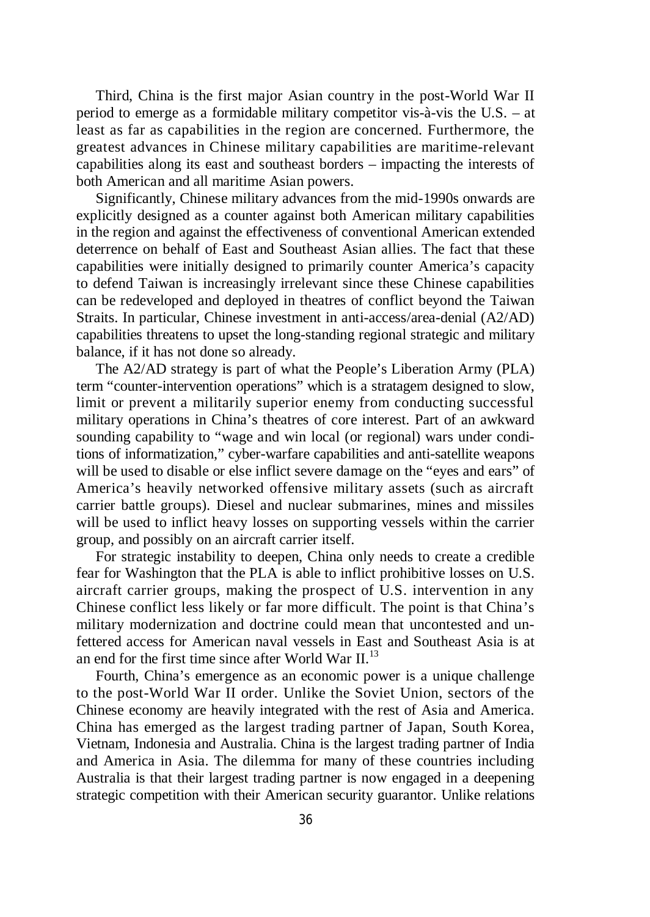Third, China is the first major Asian country in the post-World War II period to emerge as a formidable military competitor vis-à-vis the U.S. – at least as far as capabilities in the region are concerned. Furthermore, the greatest advances in Chinese military capabilities are maritime-relevant capabilities along its east and southeast borders – impacting the interests of both American and all maritime Asian powers.

Significantly, Chinese military advances from the mid-1990s onwards are explicitly designed as a counter against both American military capabilities in the region and against the effectiveness of conventional American extended deterrence on behalf of East and Southeast Asian allies. The fact that these capabilities were initially designed to primarily counter America's capacity to defend Taiwan is increasingly irrelevant since these Chinese capabilities can be redeveloped and deployed in theatres of conflict beyond the Taiwan Straits. In particular, Chinese investment in anti-access/area-denial (A2/AD) capabilities threatens to upset the long-standing regional strategic and military balance, if it has not done so already.

The A2/AD strategy is part of what the People's Liberation Army (PLA) term "counter-intervention operations" which is a stratagem designed to slow, limit or prevent a militarily superior enemy from conducting successful military operations in China's theatres of core interest. Part of an awkward sounding capability to "wage and win local (or regional) wars under conditions of informatization," cyber-warfare capabilities and anti-satellite weapons will be used to disable or else inflict severe damage on the "eyes and ears" of America's heavily networked offensive military assets (such as aircraft carrier battle groups). Diesel and nuclear submarines, mines and missiles will be used to inflict heavy losses on supporting vessels within the carrier group, and possibly on an aircraft carrier itself.

For strategic instability to deepen, China only needs to create a credible fear for Washington that the PLA is able to inflict prohibitive losses on U.S. aircraft carrier groups, making the prospect of U.S. intervention in any Chinese conflict less likely or far more difficult. The point is that China's military modernization and doctrine could mean that uncontested and unfettered access for American naval vessels in East and Southeast Asia is at an end for the first time since after World War II.<sup>13</sup>

Fourth, China's emergence as an economic power is a unique challenge to the post-World War II order. Unlike the Soviet Union, sectors of the Chinese economy are heavily integrated with the rest of Asia and America. China has emerged as the largest trading partner of Japan, South Korea, Vietnam, Indonesia and Australia. China is the largest trading partner of India and America in Asia. The dilemma for many of these countries including Australia is that their largest trading partner is now engaged in a deepening strategic competition with their American security guarantor. Unlike relations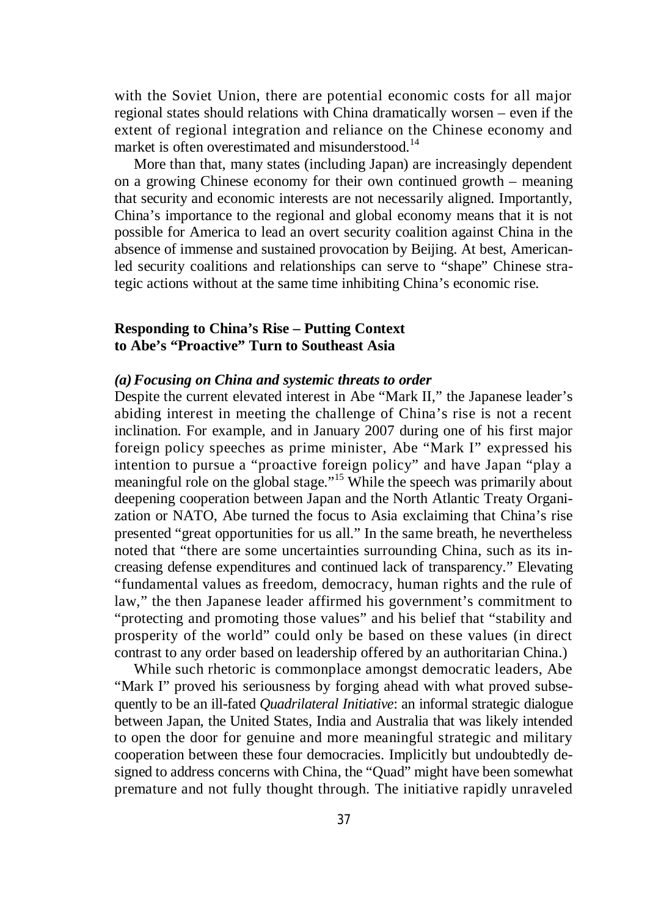with the Soviet Union, there are potential economic costs for all major regional states should relations with China dramatically worsen – even if the extent of regional integration and reliance on the Chinese economy and market is often overestimated and misunderstood.<sup>14</sup>

More than that, many states (including Japan) are increasingly dependent on a growing Chinese economy for their own continued growth – meaning that security and economic interests are not necessarily aligned. Importantly, China's importance to the regional and global economy means that it is not possible for America to lead an overt security coalition against China in the absence of immense and sustained provocation by Beijing. At best, Americanled security coalitions and relationships can serve to "shape" Chinese strategic actions without at the same time inhibiting China's economic rise.

# **Responding to China's Rise – Putting Context to Abe's "Proactive" Turn to Southeast Asia**

## *(a)Focusing on China and systemic threats to order*

Despite the current elevated interest in Abe "Mark II," the Japanese leader's abiding interest in meeting the challenge of China's rise is not a recent inclination. For example, and in January 2007 during one of his first major foreign policy speeches as prime minister, Abe "Mark I" expressed his intention to pursue a "proactive foreign policy" and have Japan "play a meaningful role on the global stage."<sup>15</sup> While the speech was primarily about deepening cooperation between Japan and the North Atlantic Treaty Organization or NATO, Abe turned the focus to Asia exclaiming that China's rise presented "great opportunities for us all." In the same breath, he nevertheless noted that "there are some uncertainties surrounding China, such as its increasing defense expenditures and continued lack of transparency." Elevating "fundamental values as freedom, democracy, human rights and the rule of law," the then Japanese leader affirmed his government's commitment to "protecting and promoting those values" and his belief that "stability and prosperity of the world" could only be based on these values (in direct contrast to any order based on leadership offered by an authoritarian China.)

While such rhetoric is commonplace amongst democratic leaders, Abe "Mark I" proved his seriousness by forging ahead with what proved subsequently to be an ill-fated *Quadrilateral Initiative*: an informal strategic dialogue between Japan, the United States, India and Australia that was likely intended to open the door for genuine and more meaningful strategic and military cooperation between these four democracies. Implicitly but undoubtedly designed to address concerns with China, the "Quad" might have been somewhat premature and not fully thought through. The initiative rapidly unraveled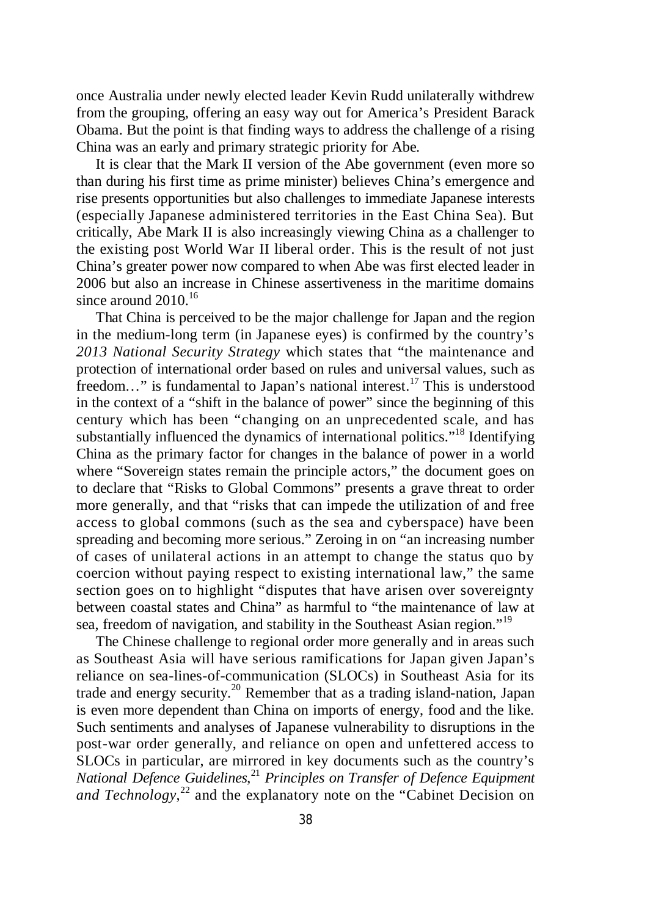once Australia under newly elected leader Kevin Rudd unilaterally withdrew from the grouping, offering an easy way out for America's President Barack Obama. But the point is that finding ways to address the challenge of a rising China was an early and primary strategic priority for Abe.

It is clear that the Mark II version of the Abe government (even more so than during his first time as prime minister) believes China's emergence and rise presents opportunities but also challenges to immediate Japanese interests (especially Japanese administered territories in the East China Sea). But critically, Abe Mark II is also increasingly viewing China as a challenger to the existing post World War II liberal order. This is the result of not just China's greater power now compared to when Abe was first elected leader in 2006 but also an increase in Chinese assertiveness in the maritime domains since around  $2010^{16}$ 

That China is perceived to be the major challenge for Japan and the region in the medium-long term (in Japanese eyes) is confirmed by the country's *2013 National Security Strategy* which states that "the maintenance and protection of international order based on rules and universal values, such as freedom..." is fundamental to Japan's national interest.<sup>17</sup> This is understood in the context of a "shift in the balance of power" since the beginning of this century which has been "changing on an unprecedented scale, and has substantially influenced the dynamics of international politics."<sup>18</sup> Identifying China as the primary factor for changes in the balance of power in a world where "Sovereign states remain the principle actors," the document goes on to declare that "Risks to Global Commons" presents a grave threat to order more generally, and that "risks that can impede the utilization of and free access to global commons (such as the sea and cyberspace) have been spreading and becoming more serious." Zeroing in on "an increasing number of cases of unilateral actions in an attempt to change the status quo by coercion without paying respect to existing international law," the same section goes on to highlight "disputes that have arisen over sovereignty between coastal states and China" as harmful to "the maintenance of law at sea, freedom of navigation, and stability in the Southeast Asian region."<sup>19</sup>

The Chinese challenge to regional order more generally and in areas such as Southeast Asia will have serious ramifications for Japan given Japan's reliance on sea-lines-of-communication (SLOCs) in Southeast Asia for its trade and energy security.<sup>20</sup> Remember that as a trading island-nation, Japan is even more dependent than China on imports of energy, food and the like. Such sentiments and analyses of Japanese vulnerability to disruptions in the post-war order generally, and reliance on open and unfettered access to SLOCs in particular, are mirrored in key documents such as the country's *National Defence Guidelines*, <sup>21</sup> *Principles on Transfer of Defence Equipment* and Technology,<sup>22</sup> and the explanatory note on the "Cabinet Decision on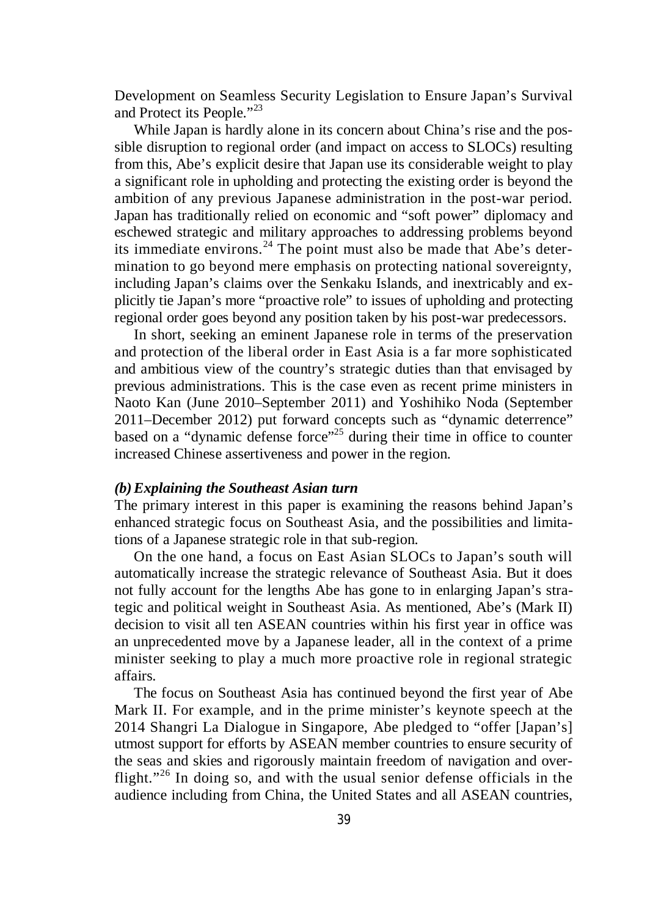Development on Seamless Security Legislation to Ensure Japan's Survival and Protect its People."<sup>23</sup>

While Japan is hardly alone in its concern about China's rise and the possible disruption to regional order (and impact on access to SLOCs) resulting from this, Abe's explicit desire that Japan use its considerable weight to play a significant role in upholding and protecting the existing order is beyond the ambition of any previous Japanese administration in the post-war period. Japan has traditionally relied on economic and "soft power" diplomacy and eschewed strategic and military approaches to addressing problems beyond its immediate environs.<sup>24</sup> The point must also be made that Abe's determination to go beyond mere emphasis on protecting national sovereignty, including Japan's claims over the Senkaku Islands, and inextricably and explicitly tie Japan's more "proactive role" to issues of upholding and protecting regional order goes beyond any position taken by his post-war predecessors.

In short, seeking an eminent Japanese role in terms of the preservation and protection of the liberal order in East Asia is a far more sophisticated and ambitious view of the country's strategic duties than that envisaged by previous administrations. This is the case even as recent prime ministers in Naoto Kan (June 2010–September 2011) and Yoshihiko Noda (September 2011–December 2012) put forward concepts such as "dynamic deterrence" based on a "dynamic defense force"<sup>25</sup> during their time in office to counter increased Chinese assertiveness and power in the region.

# *(b)Explaining the Southeast Asian turn*

The primary interest in this paper is examining the reasons behind Japan's enhanced strategic focus on Southeast Asia, and the possibilities and limitations of a Japanese strategic role in that sub-region.

On the one hand, a focus on East Asian SLOCs to Japan's south will automatically increase the strategic relevance of Southeast Asia. But it does not fully account for the lengths Abe has gone to in enlarging Japan's strategic and political weight in Southeast Asia. As mentioned, Abe's (Mark II) decision to visit all ten ASEAN countries within his first year in office was an unprecedented move by a Japanese leader, all in the context of a prime minister seeking to play a much more proactive role in regional strategic affairs.

The focus on Southeast Asia has continued beyond the first year of Abe Mark II. For example, and in the prime minister's keynote speech at the 2014 Shangri La Dialogue in Singapore, Abe pledged to "offer [Japan's] utmost support for efforts by ASEAN member countries to ensure security of the seas and skies and rigorously maintain freedom of navigation and overflight."<sup>26</sup> In doing so, and with the usual senior defense officials in the audience including from China, the United States and all ASEAN countries,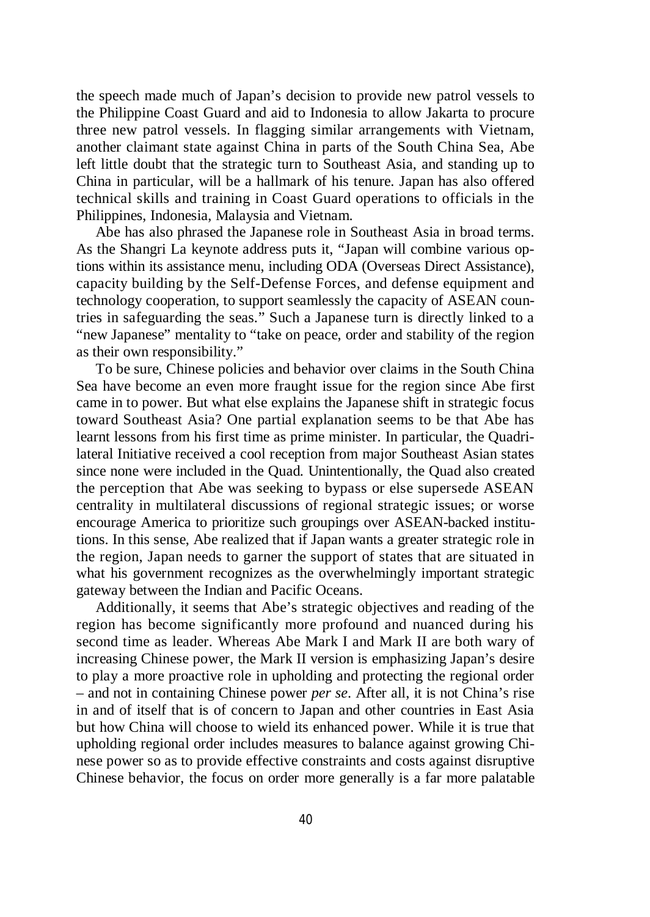the speech made much of Japan's decision to provide new patrol vessels to the Philippine Coast Guard and aid to Indonesia to allow Jakarta to procure three new patrol vessels. In flagging similar arrangements with Vietnam, another claimant state against China in parts of the South China Sea, Abe left little doubt that the strategic turn to Southeast Asia, and standing up to China in particular, will be a hallmark of his tenure. Japan has also offered technical skills and training in Coast Guard operations to officials in the Philippines, Indonesia, Malaysia and Vietnam.

Abe has also phrased the Japanese role in Southeast Asia in broad terms. As the Shangri La keynote address puts it, "Japan will combine various options within its assistance menu, including ODA (Overseas Direct Assistance), capacity building by the Self-Defense Forces, and defense equipment and technology cooperation, to support seamlessly the capacity of ASEAN countries in safeguarding the seas." Such a Japanese turn is directly linked to a "new Japanese" mentality to "take on peace, order and stability of the region as their own responsibility."

To be sure, Chinese policies and behavior over claims in the South China Sea have become an even more fraught issue for the region since Abe first came in to power. But what else explains the Japanese shift in strategic focus toward Southeast Asia? One partial explanation seems to be that Abe has learnt lessons from his first time as prime minister. In particular, the Quadrilateral Initiative received a cool reception from major Southeast Asian states since none were included in the Quad. Unintentionally, the Quad also created the perception that Abe was seeking to bypass or else supersede ASEAN centrality in multilateral discussions of regional strategic issues; or worse encourage America to prioritize such groupings over ASEAN-backed institutions. In this sense, Abe realized that if Japan wants a greater strategic role in the region, Japan needs to garner the support of states that are situated in what his government recognizes as the overwhelmingly important strategic gateway between the Indian and Pacific Oceans.

Additionally, it seems that Abe's strategic objectives and reading of the region has become significantly more profound and nuanced during his second time as leader. Whereas Abe Mark I and Mark II are both wary of increasing Chinese power, the Mark II version is emphasizing Japan's desire to play a more proactive role in upholding and protecting the regional order – and not in containing Chinese power *per se*. After all, it is not China's rise in and of itself that is of concern to Japan and other countries in East Asia but how China will choose to wield its enhanced power. While it is true that upholding regional order includes measures to balance against growing Chinese power so as to provide effective constraints and costs against disruptive Chinese behavior, the focus on order more generally is a far more palatable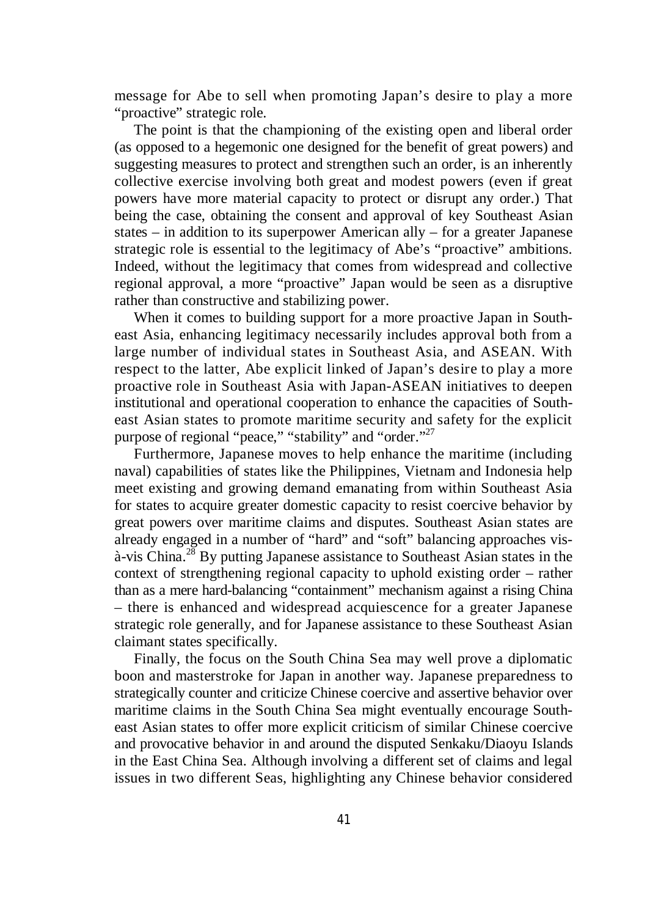message for Abe to sell when promoting Japan's desire to play a more "proactive" strategic role.

The point is that the championing of the existing open and liberal order (as opposed to a hegemonic one designed for the benefit of great powers) and suggesting measures to protect and strengthen such an order, is an inherently collective exercise involving both great and modest powers (even if great powers have more material capacity to protect or disrupt any order.) That being the case, obtaining the consent and approval of key Southeast Asian states – in addition to its superpower American ally – for a greater Japanese strategic role is essential to the legitimacy of Abe's "proactive" ambitions. Indeed, without the legitimacy that comes from widespread and collective regional approval, a more "proactive" Japan would be seen as a disruptive rather than constructive and stabilizing power.

When it comes to building support for a more proactive Japan in Southeast Asia, enhancing legitimacy necessarily includes approval both from a large number of individual states in Southeast Asia, and ASEAN. With respect to the latter, Abe explicit linked of Japan's desire to play a more proactive role in Southeast Asia with Japan-ASEAN initiatives to deepen institutional and operational cooperation to enhance the capacities of Southeast Asian states to promote maritime security and safety for the explicit purpose of regional "peace," "stability" and "order."<sup>27</sup>

Furthermore, Japanese moves to help enhance the maritime (including naval) capabilities of states like the Philippines, Vietnam and Indonesia help meet existing and growing demand emanating from within Southeast Asia for states to acquire greater domestic capacity to resist coercive behavior by great powers over maritime claims and disputes. Southeast Asian states are already engaged in a number of "hard" and "soft" balancing approaches vis- $\hat{a}$ -vis China.<sup>28</sup> By putting Japanese assistance to Southeast Asian states in the context of strengthening regional capacity to uphold existing order – rather than as a mere hard-balancing "containment" mechanism against a rising China – there is enhanced and widespread acquiescence for a greater Japanese strategic role generally, and for Japanese assistance to these Southeast Asian claimant states specifically.

Finally, the focus on the South China Sea may well prove a diplomatic boon and masterstroke for Japan in another way. Japanese preparedness to strategically counter and criticize Chinese coercive and assertive behavior over maritime claims in the South China Sea might eventually encourage Southeast Asian states to offer more explicit criticism of similar Chinese coercive and provocative behavior in and around the disputed Senkaku/Diaoyu Islands in the East China Sea. Although involving a different set of claims and legal issues in two different Seas, highlighting any Chinese behavior considered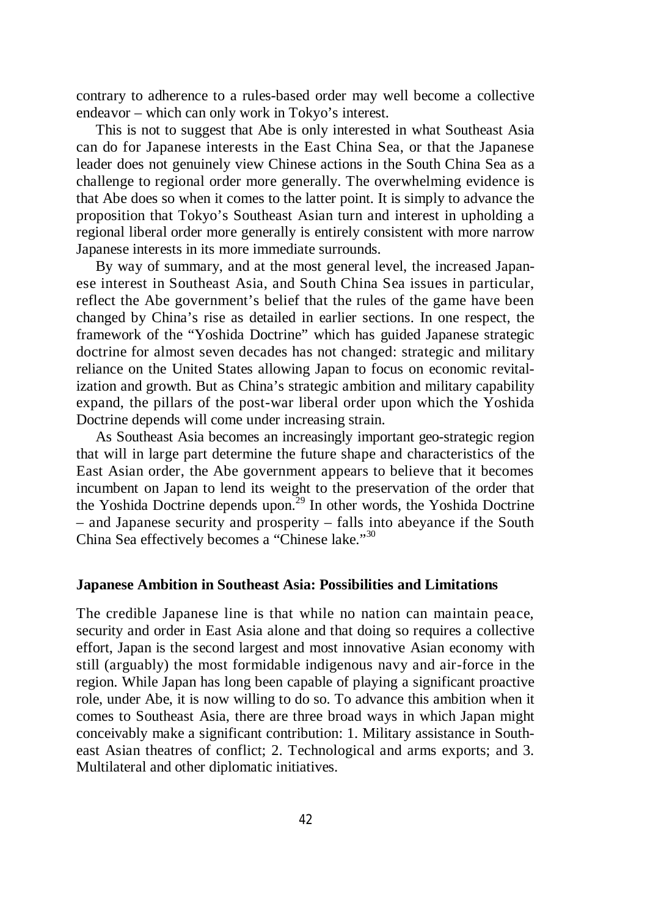contrary to adherence to a rules-based order may well become a collective endeavor – which can only work in Tokyo's interest.

This is not to suggest that Abe is only interested in what Southeast Asia can do for Japanese interests in the East China Sea, or that the Japanese leader does not genuinely view Chinese actions in the South China Sea as a challenge to regional order more generally. The overwhelming evidence is that Abe does so when it comes to the latter point. It is simply to advance the proposition that Tokyo's Southeast Asian turn and interest in upholding a regional liberal order more generally is entirely consistent with more narrow Japanese interests in its more immediate surrounds.

By way of summary, and at the most general level, the increased Japanese interest in Southeast Asia, and South China Sea issues in particular, reflect the Abe government's belief that the rules of the game have been changed by China's rise as detailed in earlier sections. In one respect, the framework of the "Yoshida Doctrine" which has guided Japanese strategic doctrine for almost seven decades has not changed: strategic and military reliance on the United States allowing Japan to focus on economic revitalization and growth. But as China's strategic ambition and military capability expand, the pillars of the post-war liberal order upon which the Yoshida Doctrine depends will come under increasing strain.

As Southeast Asia becomes an increasingly important geo-strategic region that will in large part determine the future shape and characteristics of the East Asian order, the Abe government appears to believe that it becomes incumbent on Japan to lend its weight to the preservation of the order that the Yoshida Doctrine depends upon.<sup>29</sup> In other words, the Yoshida Doctrine – and Japanese security and prosperity – falls into abeyance if the South China Sea effectively becomes a "Chinese lake." 30

#### **Japanese Ambition in Southeast Asia: Possibilities and Limitations**

The credible Japanese line is that while no nation can maintain peace, security and order in East Asia alone and that doing so requires a collective effort, Japan is the second largest and most innovative Asian economy with still (arguably) the most formidable indigenous navy and air-force in the region. While Japan has long been capable of playing a significant proactive role, under Abe, it is now willing to do so. To advance this ambition when it comes to Southeast Asia, there are three broad ways in which Japan might conceivably make a significant contribution: 1. Military assistance in Southeast Asian theatres of conflict; 2. Technological and arms exports; and 3. Multilateral and other diplomatic initiatives.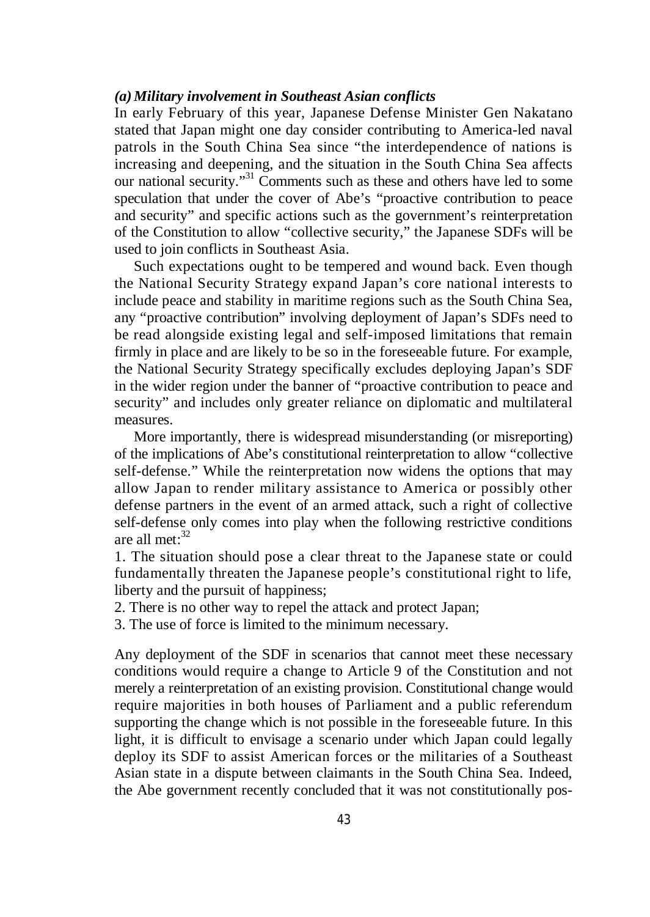# *(a)Military involvement in Southeast Asian conflicts*

In early February of this year, Japanese Defense Minister Gen Nakatano stated that Japan might one day consider contributing to America-led naval patrols in the South China Sea since "the interdependence of nations is increasing and deepening, and the situation in the South China Sea affects our national security."<sup>31</sup> Comments such as these and others have led to some speculation that under the cover of Abe's "proactive contribution to peace and security" and specific actions such as the government's reinterpretation of the Constitution to allow "collective security," the Japanese SDFs will be used to join conflicts in Southeast Asia.

Such expectations ought to be tempered and wound back. Even though the National Security Strategy expand Japan's core national interests to include peace and stability in maritime regions such as the South China Sea, any "proactive contribution" involving deployment of Japan's SDFs need to be read alongside existing legal and self-imposed limitations that remain firmly in place and are likely to be so in the foreseeable future. For example, the National Security Strategy specifically excludes deploying Japan's SDF in the wider region under the banner of "proactive contribution to peace and security" and includes only greater reliance on diplomatic and multilateral measures.

More importantly, there is widespread misunderstanding (or misreporting) of the implications of Abe's constitutional reinterpretation to allow "collective self-defense." While the reinterpretation now widens the options that may allow Japan to render military assistance to America or possibly other defense partners in the event of an armed attack, such a right of collective self-defense only comes into play when the following restrictive conditions are all met: $32$ 

1. The situation should pose a clear threat to the Japanese state or could fundamentally threaten the Japanese people's constitutional right to life, liberty and the pursuit of happiness;

2. There is no other way to repel the attack and protect Japan;

3. The use of force is limited to the minimum necessary.

Any deployment of the SDF in scenarios that cannot meet these necessary conditions would require a change to Article 9 of the Constitution and not merely a reinterpretation of an existing provision. Constitutional change would require majorities in both houses of Parliament and a public referendum supporting the change which is not possible in the foreseeable future. In this light, it is difficult to envisage a scenario under which Japan could legally deploy its SDF to assist American forces or the militaries of a Southeast Asian state in a dispute between claimants in the South China Sea. Indeed, the Abe government recently concluded that it was not constitutionally pos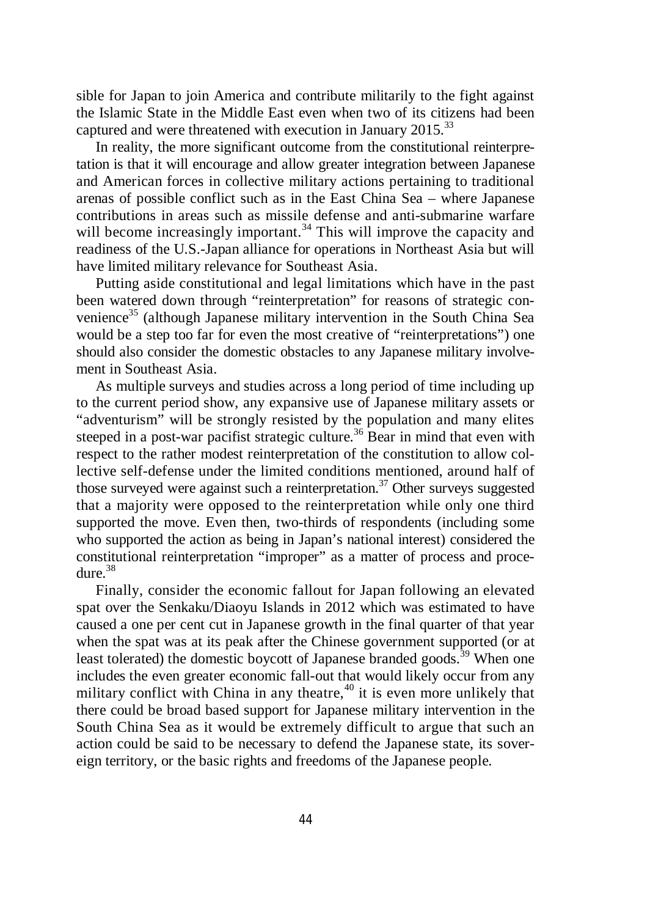sible for Japan to join America and contribute militarily to the fight against the Islamic State in the Middle East even when two of its citizens had been captured and were threatened with execution in January  $2015^{33}$ 

In reality, the more significant outcome from the constitutional reinterpretation is that it will encourage and allow greater integration between Japanese and American forces in collective military actions pertaining to traditional arenas of possible conflict such as in the East China Sea – where Japanese contributions in areas such as missile defense and anti-submarine warfare will become increasingly important.<sup>34</sup> This will improve the capacity and readiness of the U.S.-Japan alliance for operations in Northeast Asia but will have limited military relevance for Southeast Asia.

Putting aside constitutional and legal limitations which have in the past been watered down through "reinterpretation" for reasons of strategic convenience<sup>35</sup> (although Japanese military intervention in the South China Sea would be a step too far for even the most creative of "reinterpretations") one should also consider the domestic obstacles to any Japanese military involvement in Southeast Asia.

As multiple surveys and studies across a long period of time including up to the current period show, any expansive use of Japanese military assets or "adventurism" will be strongly resisted by the population and many elites steeped in a post-war pacifist strategic culture.<sup>36</sup> Bear in mind that even with respect to the rather modest reinterpretation of the constitution to allow collective self-defense under the limited conditions mentioned, around half of those surveyed were against such a reinterpretation.<sup>37</sup> Other surveys suggested that a majority were opposed to the reinterpretation while only one third supported the move. Even then, two-thirds of respondents (including some who supported the action as being in Japan's national interest) considered the constitutional reinterpretation "improper" as a matter of process and procedure.<sup>38</sup>

Finally, consider the economic fallout for Japan following an elevated spat over the Senkaku/Diaoyu Islands in 2012 which was estimated to have caused a one per cent cut in Japanese growth in the final quarter of that year when the spat was at its peak after the Chinese government supported (or at least tolerated) the domestic boycott of Japanese branded goods.<sup>39</sup> When one includes the even greater economic fall-out that would likely occur from any military conflict with China in any theatre,<sup>40</sup> it is even more unlikely that there could be broad based support for Japanese military intervention in the South China Sea as it would be extremely difficult to argue that such an action could be said to be necessary to defend the Japanese state, its sovereign territory, or the basic rights and freedoms of the Japanese people.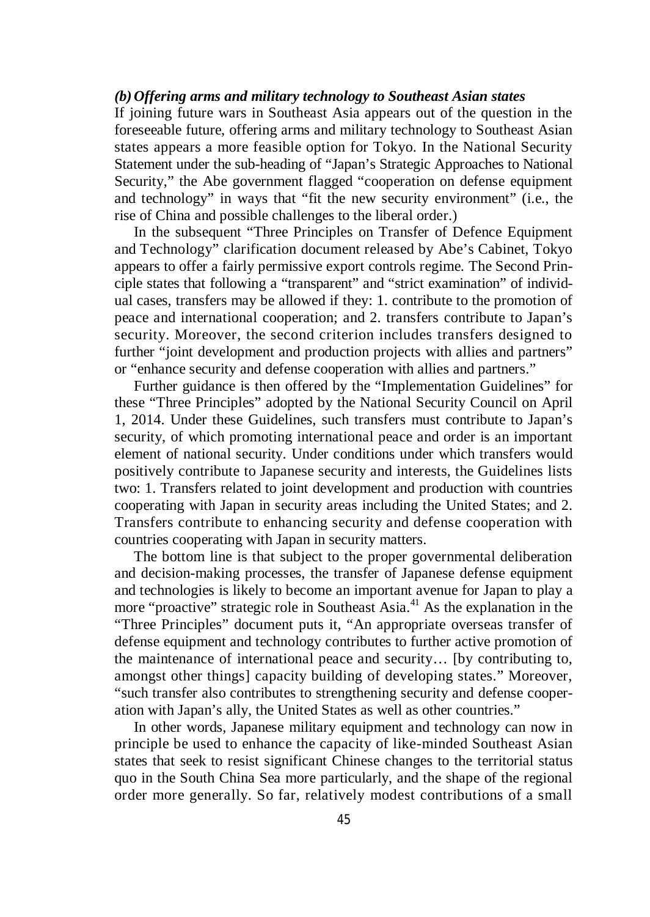## *(b) Offering arms and military technology to Southeast Asian states*

If joining future wars in Southeast Asia appears out of the question in the foreseeable future, offering arms and military technology to Southeast Asian states appears a more feasible option for Tokyo. In the National Security Statement under the sub-heading of "Japan's Strategic Approaches to National Security," the Abe government flagged "cooperation on defense equipment and technology" in ways that "fit the new security environment" (i.e., the rise of China and possible challenges to the liberal order.)

In the subsequent "Three Principles on Transfer of Defence Equipment and Technology" clarification document released by Abe's Cabinet, Tokyo appears to offer a fairly permissive export controls regime. The Second Principle states that following a "transparent" and "strict examination" of individual cases, transfers may be allowed if they: 1. contribute to the promotion of peace and international cooperation; and 2. transfers contribute to Japan's security. Moreover, the second criterion includes transfers designed to further "joint development and production projects with allies and partners" or "enhance security and defense cooperation with allies and partners."

Further guidance is then offered by the "Implementation Guidelines" for these "Three Principles" adopted by the National Security Council on April 1, 2014. Under these Guidelines, such transfers must contribute to Japan's security, of which promoting international peace and order is an important element of national security. Under conditions under which transfers would positively contribute to Japanese security and interests, the Guidelines lists two: 1. Transfers related to joint development and production with countries cooperating with Japan in security areas including the United States; and 2. Transfers contribute to enhancing security and defense cooperation with countries cooperating with Japan in security matters.

The bottom line is that subject to the proper governmental deliberation and decision-making processes, the transfer of Japanese defense equipment and technologies is likely to become an important avenue for Japan to play a more "proactive" strategic role in Southeast Asia.<sup>41</sup> As the explanation in the "Three Principles" document puts it, "An appropriate overseas transfer of defense equipment and technology contributes to further active promotion of the maintenance of international peace and security… [by contributing to, amongst other things] capacity building of developing states." Moreover, "such transfer also contributes to strengthening security and defense cooperation with Japan's ally, the United States as well as other countries."

In other words, Japanese military equipment and technology can now in principle be used to enhance the capacity of like-minded Southeast Asian states that seek to resist significant Chinese changes to the territorial status quo in the South China Sea more particularly, and the shape of the regional order more generally. So far, relatively modest contributions of a small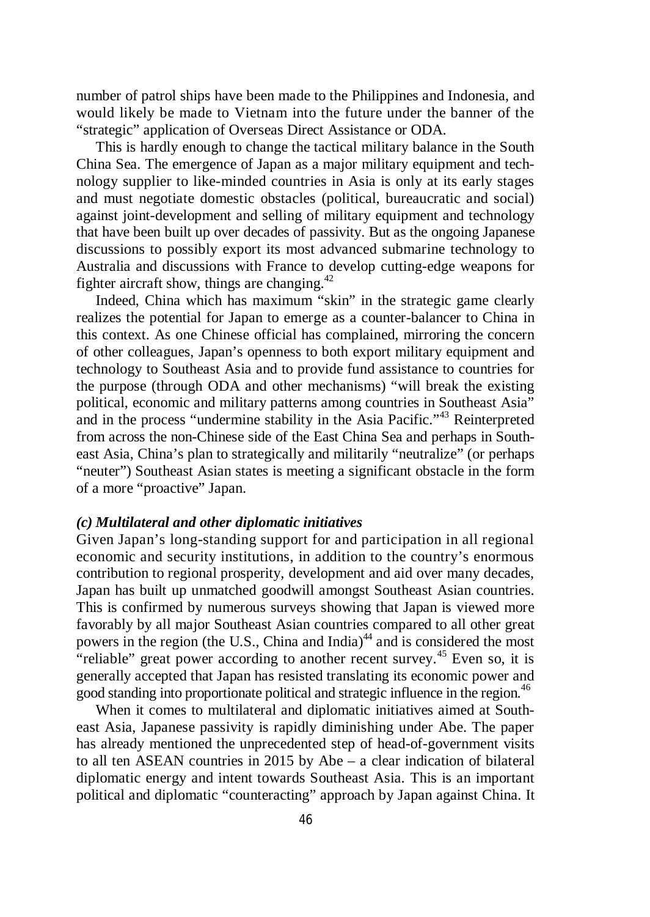number of patrol ships have been made to the Philippines and Indonesia, and would likely be made to Vietnam into the future under the banner of the "strategic" application of Overseas Direct Assistance or ODA.

This is hardly enough to change the tactical military balance in the South China Sea. The emergence of Japan as a major military equipment and technology supplier to like-minded countries in Asia is only at its early stages and must negotiate domestic obstacles (political, bureaucratic and social) against joint-development and selling of military equipment and technology that have been built up over decades of passivity. But as the ongoing Japanese discussions to possibly export its most advanced submarine technology to Australia and discussions with France to develop cutting-edge weapons for fighter aircraft show, things are changing. $42$ 

Indeed, China which has maximum "skin" in the strategic game clearly realizes the potential for Japan to emerge as a counter-balancer to China in this context. As one Chinese official has complained, mirroring the concern of other colleagues, Japan's openness to both export military equipment and technology to Southeast Asia and to provide fund assistance to countries for the purpose (through ODA and other mechanisms) "will break the existing political, economic and military patterns among countries in Southeast Asia" and in the process "undermine stability in the Asia Pacific."<sup>43</sup> Reinterpreted from across the non-Chinese side of the East China Sea and perhaps in Southeast Asia, China's plan to strategically and militarily "neutralize" (or perhaps "neuter") Southeast Asian states is meeting a significant obstacle in the form of a more "proactive" Japan.

# *(c) Multilateral and other diplomatic initiatives*

Given Japan's long-standing support for and participation in all regional economic and security institutions, in addition to the country's enormous contribution to regional prosperity, development and aid over many decades, Japan has built up unmatched goodwill amongst Southeast Asian countries. This is confirmed by numerous surveys showing that Japan is viewed more favorably by all major Southeast Asian countries compared to all other great powers in the region (the U.S., China and India)<sup>44</sup> and is considered the most "reliable" great power according to another recent survey.<sup>45</sup> Even so, it is generally accepted that Japan has resisted translating its economic power and good standing into proportionate political and strategic influence in the region. 46

When it comes to multilateral and diplomatic initiatives aimed at Southeast Asia, Japanese passivity is rapidly diminishing under Abe. The paper has already mentioned the unprecedented step of head-of-government visits to all ten ASEAN countries in 2015 by Abe – a clear indication of bilateral diplomatic energy and intent towards Southeast Asia. This is an important political and diplomatic "counteracting" approach by Japan against China. It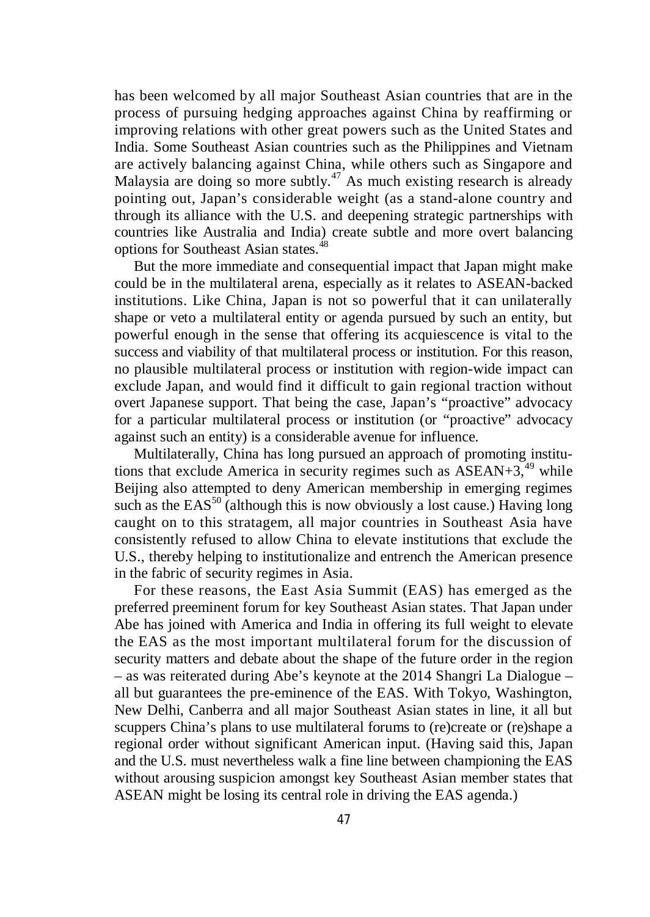has been welcomed by all major Southeast Asian countries that are in the process of pursuing hedging approaches against China by reaffirming or improving relations with other great powers such as the United States and India. Some Southeast Asian countries such as the Philippines and Vietnam are actively balancing against China, while others such as Singapore and Malaysia are doing so more subtly.<sup>47</sup> As much existing research is already pointing out, Japan's considerable weight (as a stand-alone country and through its alliance with the U.S. and deepening strategic partnerships with countries like Australia and India) create subtle and more overt balancing options for Southeast Asian states.<sup>48</sup>

But the more immediate and consequential impact that Japan might make could be in the multilateral arena, especially as it relates to ASEAN-backed institutions. Like China, Japan is not so powerful that it can unilaterally shape or veto a multilateral entity or agenda pursued by such an entity, but powerful enough in the sense that offering its acquiescence is vital to the success and viability of that multilateral process or institution. For this reason, no plausible multilateral process or institution with region-wide impact can exclude Japan, and would find it difficult to gain regional traction without overt Japanese support. That being the case, Japan's "proactive" advocacy for a particular multilateral process or institution (or "proactive" advocacy against such an entity) is a considerable avenue for influence.

Multilaterally, China has long pursued an approach of promoting institutions that exclude America in security regimes such as  $\overrightarrow{ASEAN}+3$ ,<sup>49</sup> while Beijing also attempted to deny American membership in emerging regimes such as the  $EAS^{50}$  (although this is now obviously a lost cause.) Having long caught on to this stratagem, all major countries in Southeast Asia have consistently refused to allow China to elevate institutions that exclude the U.S., thereby helping to institutionalize and entrench the American presence in the fabric of security regimes in Asia.

For these reasons, the East Asia Summit (EAS) has emerged as the preferred preeminent forum for key Southeast Asian states. That Japan under Abe has joined with America and India in offering its full weight to elevate the EAS as the most important multilateral forum for the discussion of security matters and debate about the shape of the future order in the region – as was reiterated during Abe's keynote at the 2014 Shangri La Dialogue – all but guarantees the pre-eminence of the EAS. With Tokyo, Washington, New Delhi, Canberra and all major Southeast Asian states in line, it all but scuppers China's plans to use multilateral forums to (re)create or (re)shape a regional order without significant American input. (Having said this, Japan and the U.S. must nevertheless walk a fine line between championing the EAS without arousing suspicion amongst key Southeast Asian member states that ASEAN might be losing its central role in driving the EAS agenda.)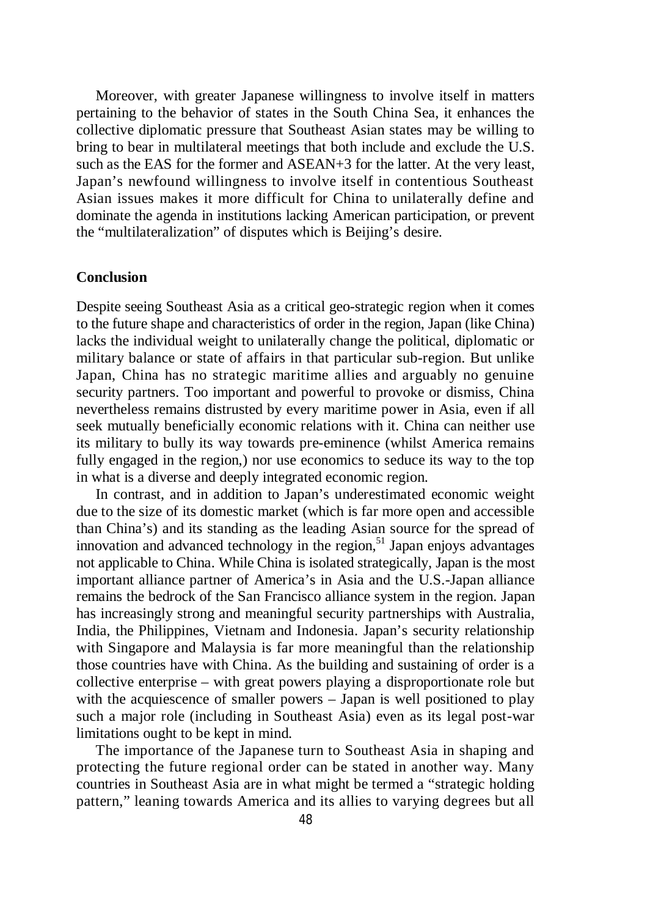Moreover, with greater Japanese willingness to involve itself in matters pertaining to the behavior of states in the South China Sea, it enhances the collective diplomatic pressure that Southeast Asian states may be willing to bring to bear in multilateral meetings that both include and exclude the U.S. such as the EAS for the former and ASEAN+3 for the latter. At the very least, Japan's newfound willingness to involve itself in contentious Southeast Asian issues makes it more difficult for China to unilaterally define and dominate the agenda in institutions lacking American participation, or prevent the "multilateralization" of disputes which is Beijing's desire.

## **Conclusion**

Despite seeing Southeast Asia as a critical geo-strategic region when it comes to the future shape and characteristics of order in the region, Japan (like China) lacks the individual weight to unilaterally change the political, diplomatic or military balance or state of affairs in that particular sub-region. But unlike Japan, China has no strategic maritime allies and arguably no genuine security partners. Too important and powerful to provoke or dismiss, China nevertheless remains distrusted by every maritime power in Asia, even if all seek mutually beneficially economic relations with it. China can neither use its military to bully its way towards pre-eminence (whilst America remains fully engaged in the region,) nor use economics to seduce its way to the top in what is a diverse and deeply integrated economic region.

In contrast, and in addition to Japan's underestimated economic weight due to the size of its domestic market (which is far more open and accessible than China's) and its standing as the leading Asian source for the spread of innovation and advanced technology in the region,<sup>51</sup> Japan enjoys advantages not applicable to China. While China is isolated strategically, Japan is the most important alliance partner of America's in Asia and the U.S.-Japan alliance remains the bedrock of the San Francisco alliance system in the region. Japan has increasingly strong and meaningful security partnerships with Australia, India, the Philippines, Vietnam and Indonesia. Japan's security relationship with Singapore and Malaysia is far more meaningful than the relationship those countries have with China. As the building and sustaining of order is a collective enterprise – with great powers playing a disproportionate role but with the acquiescence of smaller powers – Japan is well positioned to play such a major role (including in Southeast Asia) even as its legal post-war limitations ought to be kept in mind.

The importance of the Japanese turn to Southeast Asia in shaping and protecting the future regional order can be stated in another way. Many countries in Southeast Asia are in what might be termed a "strategic holding pattern," leaning towards America and its allies to varying degrees but all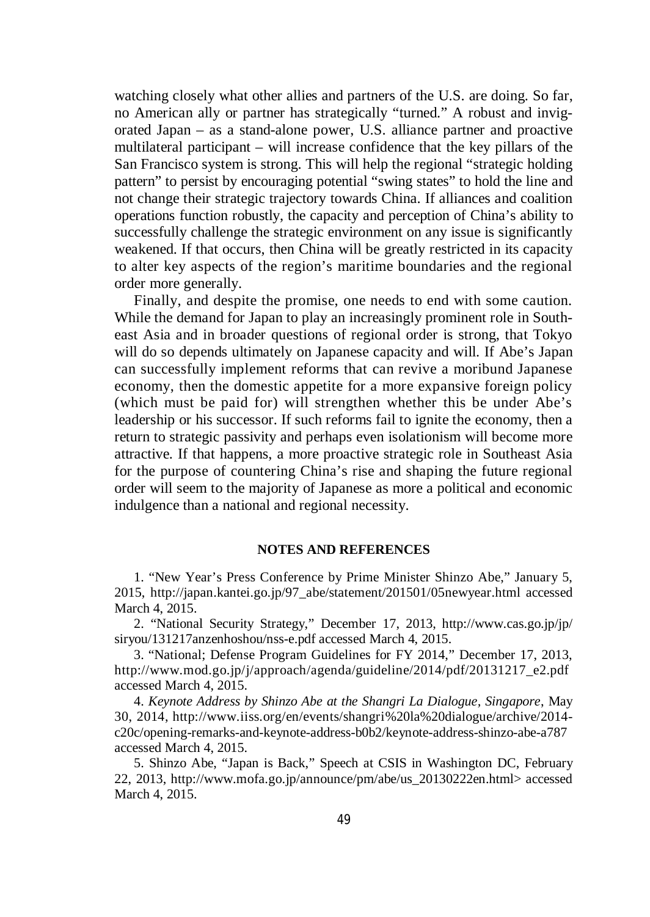watching closely what other allies and partners of the U.S. are doing. So far, no American ally or partner has strategically "turned." A robust and invigorated Japan – as a stand-alone power, U.S. alliance partner and proactive multilateral participant – will increase confidence that the key pillars of the San Francisco system is strong. This will help the regional "strategic holding pattern" to persist by encouraging potential "swing states" to hold the line and not change their strategic trajectory towards China. If alliances and coalition operations function robustly, the capacity and perception of China's ability to successfully challenge the strategic environment on any issue is significantly weakened. If that occurs, then China will be greatly restricted in its capacity to alter key aspects of the region's maritime boundaries and the regional order more generally.

Finally, and despite the promise, one needs to end with some caution. While the demand for Japan to play an increasingly prominent role in Southeast Asia and in broader questions of regional order is strong, that Tokyo will do so depends ultimately on Japanese capacity and will. If Abe's Japan can successfully implement reforms that can revive a moribund Japanese economy, then the domestic appetite for a more expansive foreign policy (which must be paid for) will strengthen whether this be under Abe's leadership or his successor. If such reforms fail to ignite the economy, then a return to strategic passivity and perhaps even isolationism will become more attractive. If that happens, a more proactive strategic role in Southeast Asia for the purpose of countering China's rise and shaping the future regional order will seem to the majority of Japanese as more a political and economic indulgence than a national and regional necessity.

#### **NOTES AND REFERENCES**

1. "New Year's Press Conference by Prime Minister Shinzo Abe," January 5, 2015, http://japan.kantei.go.jp/97\_abe/statement/201501/05newyear.html accessed March 4, 2015.

2. "National Security Strategy," December 17, 2013, http://www.cas.go.jp/jp/ siryou/131217anzenhoshou/nss-e.pdf accessed March 4, 2015.

3. "National; Defense Program Guidelines for FY 2014," December 17, 2013, http://www.mod.go.jp/j/approach/agenda/guideline/2014/pdf/20131217\_e2.pdf accessed March 4, 2015.

4. *Keynote Address by Shinzo Abe at the Shangri La Dialogue, Singapore*, May 30, 2014, http://www.iiss.org/en/events/shangri%20la%20dialogue/archive/2014 c20c/opening-remarks-and-keynote-address-b0b2/keynote-address-shinzo-abe-a787 accessed March 4, 2015.

5. Shinzo Abe, "Japan is Back," Speech at CSIS in Washington DC, February 22, 2013, http://www.mofa.go.jp/announce/pm/abe/us\_20130222en.html> accessed March 4, 2015.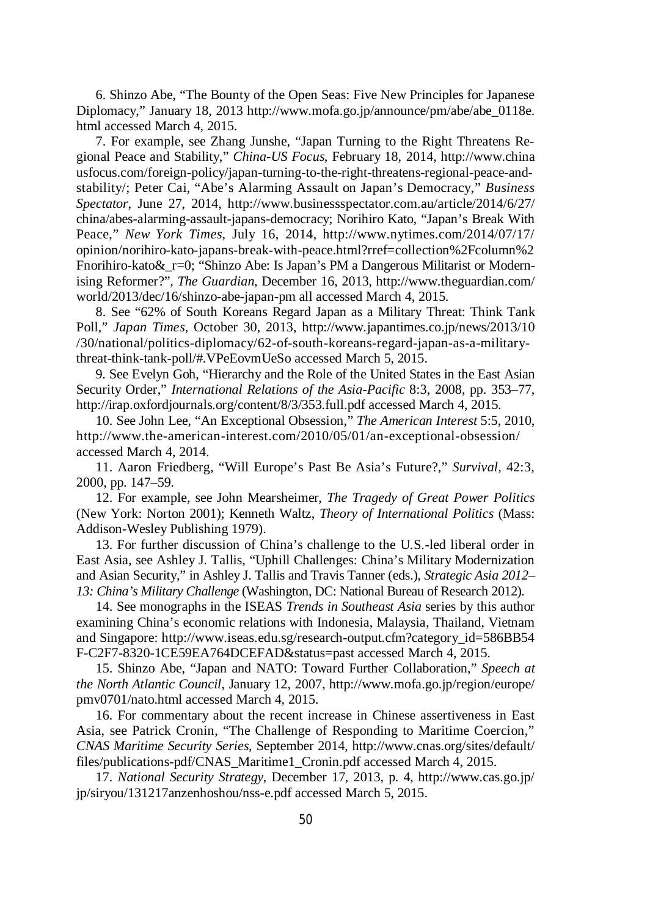6. Shinzo Abe, "The Bounty of the Open Seas: Five New Principles for Japanese Diplomacy," January 18, 2013 http://www.mofa.go.jp/announce/pm/abe/abe\_0118e. html accessed March 4, 2015.

7. For example, see Zhang Junshe, "Japan Turning to the Right Threatens Regional Peace and Stability," *China-US Focus*, February 18, 2014, http://www.china usfocus.com/foreign-policy/japan-turning-to-the-right-threatens-regional-peace-andstability/; Peter Cai, "Abe's Alarming Assault on Japan's Democracy," *Business Spectator*, June 27, 2014, http://www.businessspectator.com.au/article/2014/6/27/ china/abes-alarming-assault-japans-democracy; Norihiro Kato, "Japan's Break With Peace," *New York Times*, July 16, 2014, http://www.nytimes.com/2014/07/17/ opinion/norihiro-kato-japans-break-with-peace.html?rref=collection%2Fcolumn%2 Fnorihiro-kato & r=0; "Shinzo Abe: Is Japan's PM a Dangerous Militarist or Modernising Reformer?", *The Guardian*, December 16, 2013, http://www.theguardian.com/ world/2013/dec/16/shinzo-abe-japan-pm all accessed March 4, 2015.

8. See "62% of South Koreans Regard Japan as a Military Threat: Think Tank Poll," *Japan Times*, October 30, 2013, http://www.japantimes.co.jp/news/2013/10 /30/national/politics-diplomacy/62-of-south-koreans-regard-japan-as-a-militarythreat-think-tank-poll/#.VPeEovmUeSo accessed March 5, 2015.

9. See Evelyn Goh, "Hierarchy and the Role of the United States in the East Asian Security Order," *International Relations of the Asia-Pacific* 8:3, 2008, pp. 353–77, http://irap.oxfordjournals.org/content/8/3/353.full.pdf accessed March 4, 2015.

10. See John Lee, "An Exceptional Obsession," *The American Interest* 5:5, 2010, http://www.the-american-interest.com/2010/05/01/an-exceptional-obsession/ accessed March 4, 2014.

11. Aaron Friedberg, "Will Europe's Past Be Asia's Future?," *Survival*, 42:3, 2000, pp. 147–59.

12. For example, see John Mearsheimer, *The Tragedy of Great Power Politics* (New York: Norton 2001); Kenneth Waltz, *Theory of International Politics* (Mass: Addison-Wesley Publishing 1979).

13. For further discussion of China's challenge to the U.S.-led liberal order in East Asia, see Ashley J. Tallis, "Uphill Challenges: China's Military Modernization and Asian Security," in Ashley J. Tallis and Travis Tanner (eds.), *Strategic Asia 2012*– *13: China's Military Challenge* (Washington, DC: National Bureau of Research 2012).

14. See monographs in the ISEAS *Trends in Southeast Asia* series by this author examining China's economic relations with Indonesia, Malaysia, Thailand, Vietnam and Singapore: http://www.iseas.edu.sg/research-output.cfm?category\_id=586BB54 F-C2F7-8320-1CE59EA764DCEFAD&status=past accessed March 4, 2015.

15. Shinzo Abe, "Japan and NATO: Toward Further Collaboration," *Speech at the North Atlantic Council*, January 12, 2007, http://www.mofa.go.jp/region/europe/ pmv0701/nato.html accessed March 4, 2015.

16. For commentary about the recent increase in Chinese assertiveness in East Asia, see Patrick Cronin, "The Challenge of Responding to Maritime Coercion," *CNAS Maritime Security Series*, September 2014, http://www.cnas.org/sites/default/ files/publications-pdf/CNAS\_Maritime1\_Cronin.pdf accessed March 4, 2015.

17. *National Security Strategy*, December 17, 2013, p. 4, http://www.cas.go.jp/ jp/siryou/131217anzenhoshou/nss-e.pdf accessed March 5, 2015.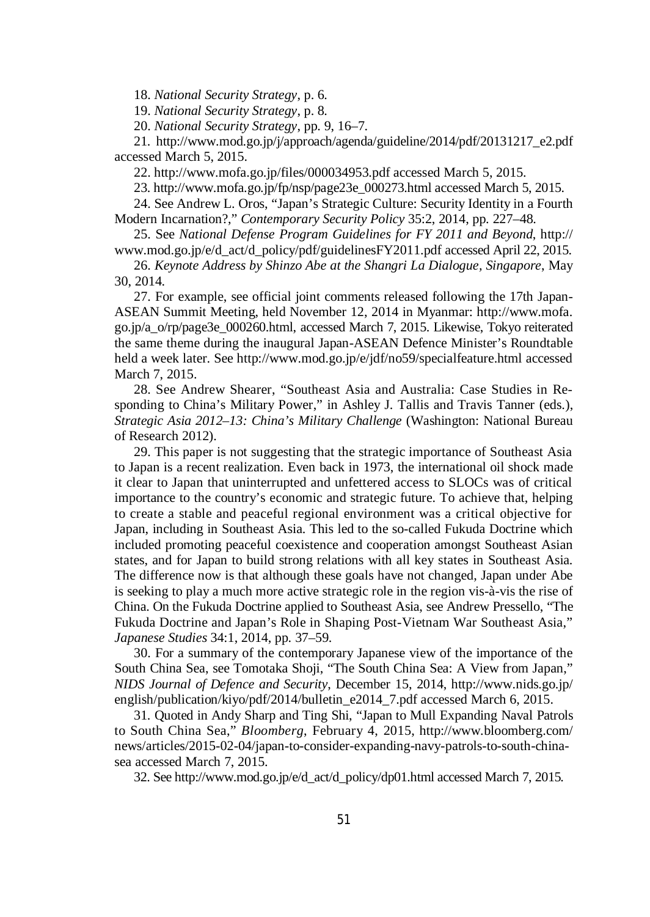18. *National Security Strategy*, p. 6.

19. *National Security Strategy*, p. 8.

20. *National Security Strategy*, pp. 9, 16–7.

21. http://www.mod.go.jp/j/approach/agenda/guideline/2014/pdf/20131217\_e2.pdf accessed March 5, 2015.

22. http://www.mofa.go.jp/files/000034953.pdf accessed March 5, 2015.

23. http://www.mofa.go.jp/fp/nsp/page23e\_000273.html accessed March 5, 2015.

24. See Andrew L. Oros, "Japan's Strategic Culture: Security Identity in a Fourth Modern Incarnation?," *Contemporary Security Policy* 35:2, 2014, pp. 227–48.

25. See *National Defense Program Guidelines for FY 2011 and Beyond*, http:// www.mod.go.jp/e/d\_act/d\_policy/pdf/guidelinesFY2011.pdf accessed April 22, 2015.

26. *Keynote Address by Shinzo Abe at the Shangri La Dialogue, Singapore*, May 30, 2014.

27. For example, see official joint comments released following the 17th Japan-ASEAN Summit Meeting, held November 12, 2014 in Myanmar: http://www.mofa. go.jp/a\_o/rp/page3e\_000260.html, accessed March 7, 2015. Likewise, Tokyo reiterated the same theme during the inaugural Japan-ASEAN Defence Minister's Roundtable held a week later. See http://www.mod.go.jp/e/jdf/no59/specialfeature.html accessed March 7, 2015.

28. See Andrew Shearer, "Southeast Asia and Australia: Case Studies in Responding to China's Military Power," in Ashley J. Tallis and Travis Tanner (eds.), *Strategic Asia 2012–13: China's Military Challenge* (Washington: National Bureau of Research 2012).

29. This paper is not suggesting that the strategic importance of Southeast Asia to Japan is a recent realization. Even back in 1973, the international oil shock made it clear to Japan that uninterrupted and unfettered access to SLOCs was of critical importance to the country's economic and strategic future. To achieve that, helping to create a stable and peaceful regional environment was a critical objective for Japan, including in Southeast Asia. This led to the so-called Fukuda Doctrine which included promoting peaceful coexistence and cooperation amongst Southeast Asian states, and for Japan to build strong relations with all key states in Southeast Asia. The difference now is that although these goals have not changed, Japan under Abe is seeking to play a much more active strategic role in the region vis-à-vis the rise of China. On the Fukuda Doctrine applied to Southeast Asia, see Andrew Pressello, "The Fukuda Doctrine and Japan's Role in Shaping Post-Vietnam War Southeast Asia," *Japanese Studies* 34:1, 2014, pp. 37–59.

30. For a summary of the contemporary Japanese view of the importance of the South China Sea, see Tomotaka Shoji, "The South China Sea: A View from Japan," *NIDS Journal of Defence and Security*, December 15, 2014, http://www.nids.go.jp/ english/publication/kiyo/pdf/2014/bulletin\_e2014\_7.pdf accessed March 6, 2015.

31. Quoted in Andy Sharp and Ting Shi, "Japan to Mull Expanding Naval Patrols to South China Sea," *Bloomberg*, February 4, 2015, http://www.bloomberg.com/ news/articles/2015-02-04/japan-to-consider-expanding-navy-patrols-to-south-chinasea accessed March 7, 2015.

32. See http://www.mod.go.jp/e/d\_act/d\_policy/dp01.html accessed March 7, 2015.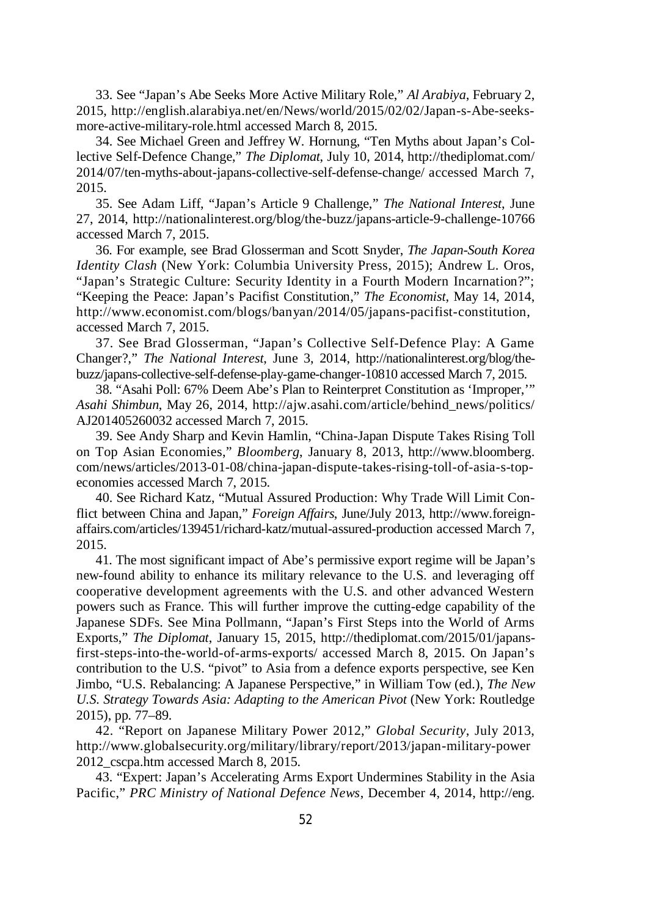33. See "Japan's Abe Seeks More Active Military Role," *Al Arabiya*, February 2, 2015, http://english.alarabiya.net/en/News/world/2015/02/02/Japan-s-Abe-seeksmore-active-military-role.html accessed March 8, 2015.

34. See Michael Green and Jeffrey W. Hornung, "Ten Myths about Japan's Collective Self-Defence Change," *The Diplomat*, July 10, 2014, http://thediplomat.com/ 2014/07/ten-myths-about-japans-collective-self-defense-change/ accessed March 7, 2015.

35. See Adam Liff, "Japan's Article 9 Challenge," *The National Interest*, June 27, 2014, http://nationalinterest.org/blog/the-buzz/japans-article-9-challenge-10766 accessed March 7, 2015.

36. For example, see Brad Glosserman and Scott Snyder, *The Japan-South Korea Identity Clash* (New York: Columbia University Press, 2015); Andrew L. Oros, "Japan's Strategic Culture: Security Identity in a Fourth Modern Incarnation?"; "Keeping the Peace: Japan's Pacifist Constitution," *The Economist*, May 14, 2014, http://www.economist.com/blogs/banyan/2014/05/japans-pacifist-constitution, accessed March 7, 2015.

37. See Brad Glosserman, "Japan's Collective Self-Defence Play: A Game Changer?," *The National Interest*, June 3, 2014, http://nationalinterest.org/blog/thebuzz/japans-collective-self-defense-play-game-changer-10810 accessed March 7, 2015.

38. "Asahi Poll: 67% Deem Abe's Plan to Reinterpret Constitution as 'Improper,'" *Asahi Shimbun*, May 26, 2014, http://ajw.asahi.com/article/behind\_news/politics/ AJ201405260032 accessed March 7, 2015.

39. See Andy Sharp and Kevin Hamlin, "China-Japan Dispute Takes Rising Toll on Top Asian Economies," *Bloomberg*, January 8, 2013, http://www.bloomberg. com/news/articles/2013-01-08/china-japan-dispute-takes-rising-toll-of-asia-s-topeconomies accessed March 7, 2015.

40. See Richard Katz, "Mutual Assured Production: Why Trade Will Limit Conflict between China and Japan," *Foreign Affairs*, June/July 2013, http://www.foreignaffairs.com/articles/139451/richard-katz/mutual-assured-production accessed March 7, 2015.

41. The most significant impact of Abe's permissive export regime will be Japan's new-found ability to enhance its military relevance to the U.S. and leveraging off cooperative development agreements with the U.S. and other advanced Western powers such as France. This will further improve the cutting-edge capability of the Japanese SDFs. See Mina Pollmann, "Japan's First Steps into the World of Arms Exports," *The Diplomat*, January 15, 2015, http://thediplomat.com/2015/01/japansfirst-steps-into-the-world-of-arms-exports/ accessed March 8, 2015. On Japan's contribution to the U.S. "pivot" to Asia from a defence exports perspective, see Ken Jimbo, "U.S. Rebalancing: A Japanese Perspective," in William Tow (ed.), *The New U.S. Strategy Towards Asia: Adapting to the American Pivot* (New York: Routledge 2015), pp. 77–89.

42. "Report on Japanese Military Power 2012," *Global Security*, July 2013, http://www.globalsecurity.org/military/library/report/2013/japan-military-power 2012 cscpa.htm accessed March 8, 2015.

43. "Expert: Japan's Accelerating Arms Export Undermines Stability in the Asia Pacific," *PRC Ministry of National Defence News*, December 4, 2014, http://eng.